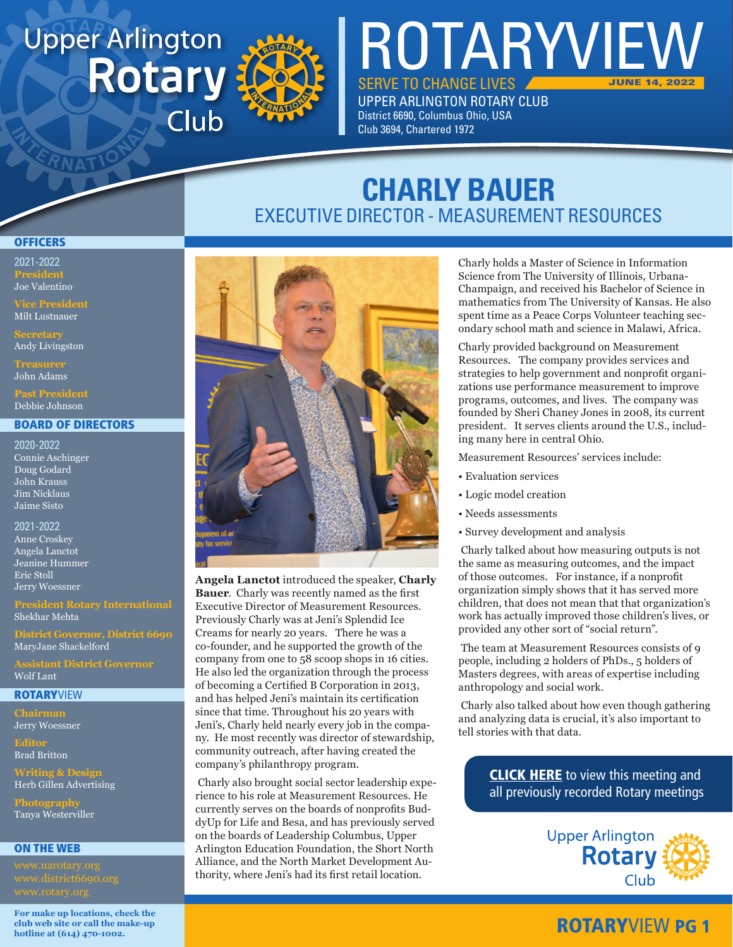# **Upper Arlington Rotary** Club



SERVE TO CHANGE LIVES UPPER ARLINGTON ROTARY CLUB District 6690, Columbus Ohio, USA Club 3694, Chartered 1972

ROTARYVIEW

# **CHARLY BAUER** EXECUTIVE DIRECTOR - MEASUREMENT RESOURCES

#### **OFFICERS**

2021-2022 **President** Joe Valentino

Milt Lustnauer

Andy Livingston

John Adams

Debbie Johnson

#### BOARD OF DIRECTORS

2020-2022 Connie Aschinger Doug Godard John Krauss Jim Nicklaus Jaime Sisto

2021-2022 Anne Croskey Angela Lanctot Jeanine Hummer Eric Stoll Jerry Woessner

### Shekhar Mehta

**District Governor, District 6690** MaryJane Shackelford

Wolf Lant

#### **ROTARYVIEW**

**Chairman** Jerry Woessner

**Editor** Brad Britton

**Writing & Design** Herb Gillen Advertising

**Photography** Tanya Westerviller

#### ON THE WEB

**For make up locations, check the club web site or call the make-up hotline at (614) 470-1002.**



**Angela Lanctot** introduced the speaker, **Charly Bauer**. Charly was recently named as the first Executive Director of Measurement Resources. Previously Charly was at Jeni's Splendid Ice Creams for nearly 20 years. There he was a co-founder, and he supported the growth of the company from one to 58 scoop shops in 16 cities. He also led the organization through the process of becoming a Certified B Corporation in 2013, and has helped Jeni's maintain its certification since that time. Throughout his 20 years with Jeni's, Charly held nearly every job in the company. He most recently was director of stewardship, community outreach, after having created the company's philanthropy program.

 Charly also brought social sector leadership experience to his role at Measurement Resources. He currently serves on the boards of nonprofits BuddyUp for Life and Besa, and has previously served on the boards of Leadership Columbus, Upper Arlington Education Foundation, the Short North Alliance, and the North Market Development Authority, where Jeni's had its first retail location.

Charly holds a Master of Science in Information Science from The University of Illinois, Urbana-Champaign, and received his Bachelor of Science in mathematics from The University of Kansas. He also spent time as a Peace Corps Volunteer teaching secondary school math and science in Malawi, Africa.

JUNE 14, 2022

Charly provided background on Measurement Resources. The company provides services and strategies to help government and nonprofit organizations use performance measurement to improve programs, outcomes, and lives. The company was founded by Sheri Chaney Jones in 2008, its current president. It serves clients around the U.S., including many here in central Ohio.

Measurement Resources' services include:

- Evaluation services
- Logic model creation
- Needs assessments
- Survey development and analysis

 Charly talked about how measuring outputs is not the same as measuring outcomes, and the impact of those outcomes. For instance, if a nonprofit organization simply shows that it has served more children, that does not mean that that organization's work has actually improved those children's lives, or provided any other sort of "social return".

 The team at Measurement Resources consists of 9 people, including 2 holders of PhDs., 5 holders of Masters degrees, with areas of expertise including anthropology and social work.

 Charly also talked about how even though gathering and analyzing data is crucial, it's also important to tell stories with that data.

> **[CLICK HERE](www.uarotary.org/zoom-meeting-recordings)** to view this meeting and all previously recorded Rotary meetings



### ROTARYVIEW PG 1